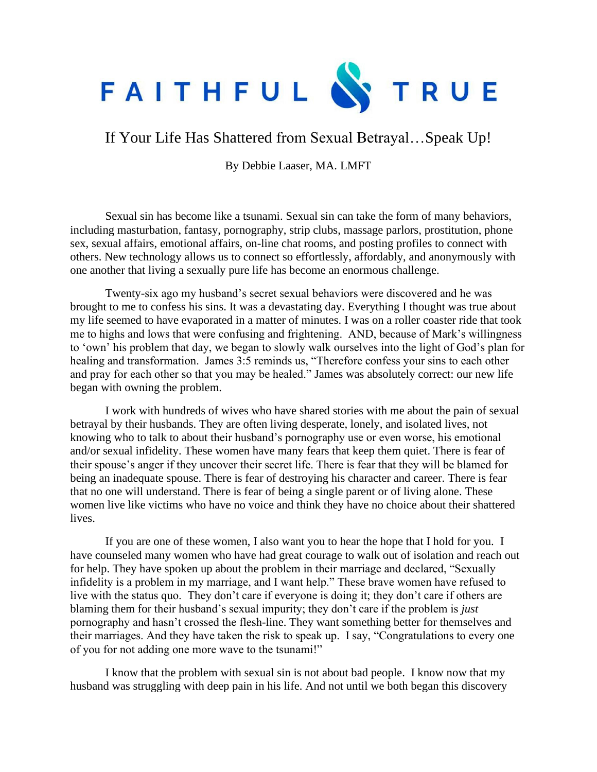

If Your Life Has Shattered from Sexual Betrayal…Speak Up!

By Debbie Laaser, MA. LMFT

Sexual sin has become like a tsunami. Sexual sin can take the form of many behaviors, including masturbation, fantasy, pornography, strip clubs, massage parlors, prostitution, phone sex, sexual affairs, emotional affairs, on-line chat rooms, and posting profiles to connect with others. New technology allows us to connect so effortlessly, affordably, and anonymously with one another that living a sexually pure life has become an enormous challenge.

Twenty-six ago my husband's secret sexual behaviors were discovered and he was brought to me to confess his sins. It was a devastating day. Everything I thought was true about my life seemed to have evaporated in a matter of minutes. I was on a roller coaster ride that took me to highs and lows that were confusing and frightening. AND, because of Mark's willingness to 'own' his problem that day, we began to slowly walk ourselves into the light of God's plan for healing and transformation. James 3:5 reminds us, "Therefore confess your sins to each other and pray for each other so that you may be healed." James was absolutely correct: our new life began with owning the problem.

I work with hundreds of wives who have shared stories with me about the pain of sexual betrayal by their husbands. They are often living desperate, lonely, and isolated lives, not knowing who to talk to about their husband's pornography use or even worse, his emotional and/or sexual infidelity. These women have many fears that keep them quiet. There is fear of their spouse's anger if they uncover their secret life. There is fear that they will be blamed for being an inadequate spouse. There is fear of destroying his character and career. There is fear that no one will understand. There is fear of being a single parent or of living alone. These women live like victims who have no voice and think they have no choice about their shattered lives.

If you are one of these women, I also want you to hear the hope that I hold for you. I have counseled many women who have had great courage to walk out of isolation and reach out for help. They have spoken up about the problem in their marriage and declared, "Sexually infidelity is a problem in my marriage, and I want help." These brave women have refused to live with the status quo. They don't care if everyone is doing it; they don't care if others are blaming them for their husband's sexual impurity; they don't care if the problem is *just* pornography and hasn't crossed the flesh-line. They want something better for themselves and their marriages. And they have taken the risk to speak up. I say, "Congratulations to every one of you for not adding one more wave to the tsunami!"

I know that the problem with sexual sin is not about bad people. I know now that my husband was struggling with deep pain in his life. And not until we both began this discovery